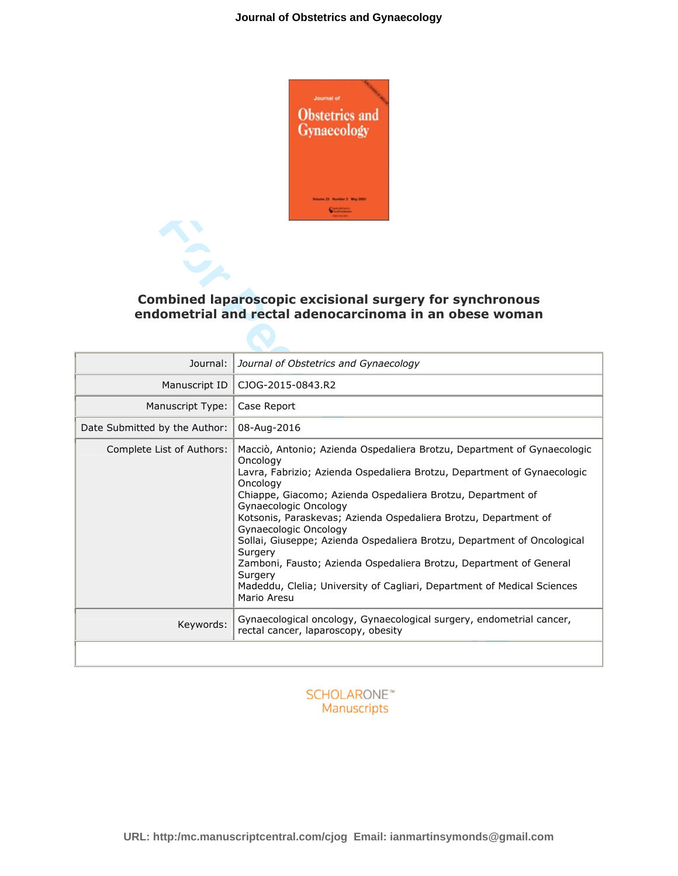

## **Combined laparoscopic excisional surgery for synchronous endometrial and rectal adenocarcinoma in an obese woman**

| <b>Combined laparoscopic excisional surgery for synchronous</b><br>endometrial and rectal adenocarcinoma in an obese woman |                                                                                                                                                                                                                                                                                                                                                                                                                                                                                                                                                                                                                                 |
|----------------------------------------------------------------------------------------------------------------------------|---------------------------------------------------------------------------------------------------------------------------------------------------------------------------------------------------------------------------------------------------------------------------------------------------------------------------------------------------------------------------------------------------------------------------------------------------------------------------------------------------------------------------------------------------------------------------------------------------------------------------------|
| Journal:                                                                                                                   | Journal of Obstetrics and Gynaecology                                                                                                                                                                                                                                                                                                                                                                                                                                                                                                                                                                                           |
| Manuscript ID                                                                                                              | CJOG-2015-0843.R2                                                                                                                                                                                                                                                                                                                                                                                                                                                                                                                                                                                                               |
| Manuscript Type:                                                                                                           | Case Report                                                                                                                                                                                                                                                                                                                                                                                                                                                                                                                                                                                                                     |
| Date Submitted by the Author:                                                                                              | 08-Aug-2016                                                                                                                                                                                                                                                                                                                                                                                                                                                                                                                                                                                                                     |
| Complete List of Authors:                                                                                                  | Macciò, Antonio; Azienda Ospedaliera Brotzu, Department of Gynaecologic<br>Oncology<br>Lavra, Fabrizio; Azienda Ospedaliera Brotzu, Department of Gynaecologic<br>Oncology<br>Chiappe, Giacomo; Azienda Ospedaliera Brotzu, Department of<br>Gynaecologic Oncology<br>Kotsonis, Paraskevas; Azienda Ospedaliera Brotzu, Department of<br>Gynaecologic Oncology<br>Sollai, Giuseppe; Azienda Ospedaliera Brotzu, Department of Oncological<br>Surgery<br>Zamboni, Fausto; Azienda Ospedaliera Brotzu, Department of General<br>Surgery<br>Madeddu, Clelia; University of Cagliari, Department of Medical Sciences<br>Mario Aresu |
| Keywords:                                                                                                                  | Gynaecological oncology, Gynaecological surgery, endometrial cancer,<br>rectal cancer, laparoscopy, obesity                                                                                                                                                                                                                                                                                                                                                                                                                                                                                                                     |

#### **SCHOLARONE™** Manuscripts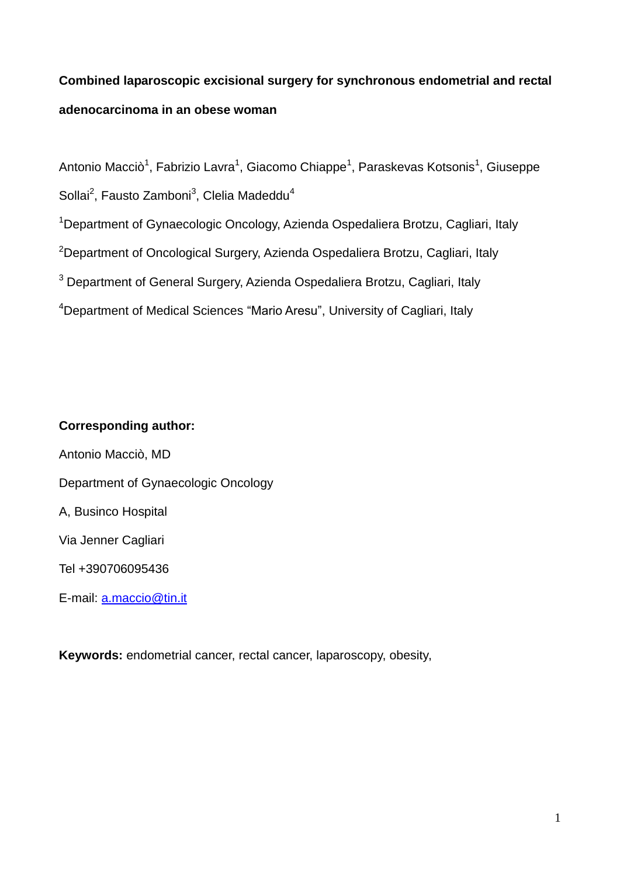# **Combined laparoscopic excisional surgery for synchronous endometrial and rectal adenocarcinoma in an obese woman**

Antonio Macciò<sup>1</sup>, Fabrizio Lavra<sup>1</sup>, Giacomo Chiappe<sup>1</sup>, Paraskevas Kotsonis<sup>1</sup>, Giuseppe Sollai<sup>2</sup>, Fausto Zamboni<sup>3</sup>, Clelia Madeddu<sup>4</sup>

<sup>1</sup> Department of Gynaecologic Oncology, Azienda Ospedaliera Brotzu, Cagliari, Italy

<sup>2</sup>Department of Oncological Surgery, Azienda Ospedaliera Brotzu, Cagliari, Italy

<sup>3</sup> Department of General Surgery, Azienda Ospedaliera Brotzu, Cagliari, Italy

<sup>4</sup>Department of Medical Sciences "Mario Aresu", University of Cagliari, Italy

## **Corresponding author:**

Antonio Macciò, MD Department of Gynaecologic Oncology A, Businco Hospital Via Jenner Cagliari Tel +390706095436 E-mail: [a.maccio@tin.it](mailto:a.maccio@tin.it)

**Keywords:** endometrial cancer, rectal cancer, laparoscopy, obesity,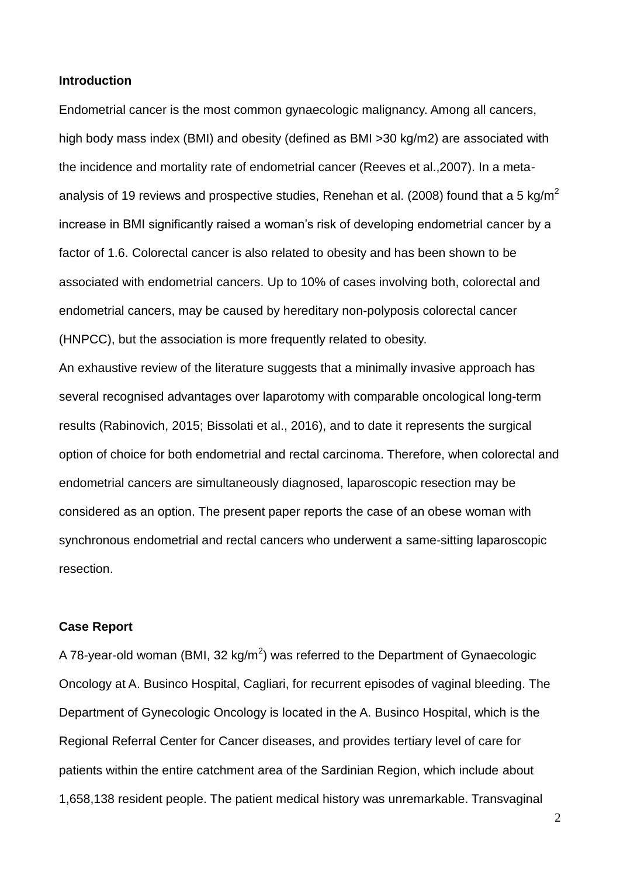#### **Introduction**

Endometrial cancer is the most common gynaecologic malignancy. Among all cancers, high body mass index (BMI) and obesity (defined as BMI >30 kg/m2) are associated with the incidence and mortality rate of endometrial cancer (Reeves et al.,2007). In a metaanalysis of 19 reviews and prospective studies, Renehan et al. (2008) found that a 5 kg/m<sup>2</sup> increase in BMI significantly raised a woman's risk of developing endometrial cancer by a factor of 1.6. Colorectal cancer is also related to obesity and has been shown to be associated with endometrial cancers. Up to 10% of cases involving both, colorectal and endometrial cancers, may be caused by hereditary non-polyposis colorectal cancer (HNPCC), but the association is more frequently related to obesity.

An exhaustive review of the literature suggests that a minimally invasive approach has several recognised advantages over laparotomy with comparable oncological long-term results (Rabinovich, 2015; Bissolati et al., 2016), and to date it represents the surgical option of choice for both endometrial and rectal carcinoma. Therefore, when colorectal and endometrial cancers are simultaneously diagnosed, laparoscopic resection may be considered as an option. The present paper reports the case of an obese woman with synchronous endometrial and rectal cancers who underwent a same-sitting laparoscopic resection.

#### **Case Report**

A 78-year-old woman (BMI, 32 kg/m<sup>2</sup>) was referred to the Department of Gynaecologic Oncology at A. Businco Hospital, Cagliari, for recurrent episodes of vaginal bleeding. The Department of Gynecologic Oncology is located in the A. Businco Hospital, which is the Regional Referral Center for Cancer diseases, and provides tertiary level of care for patients within the entire catchment area of the Sardinian Region, which include about 1,658,138 resident people. The patient medical history was unremarkable. Transvaginal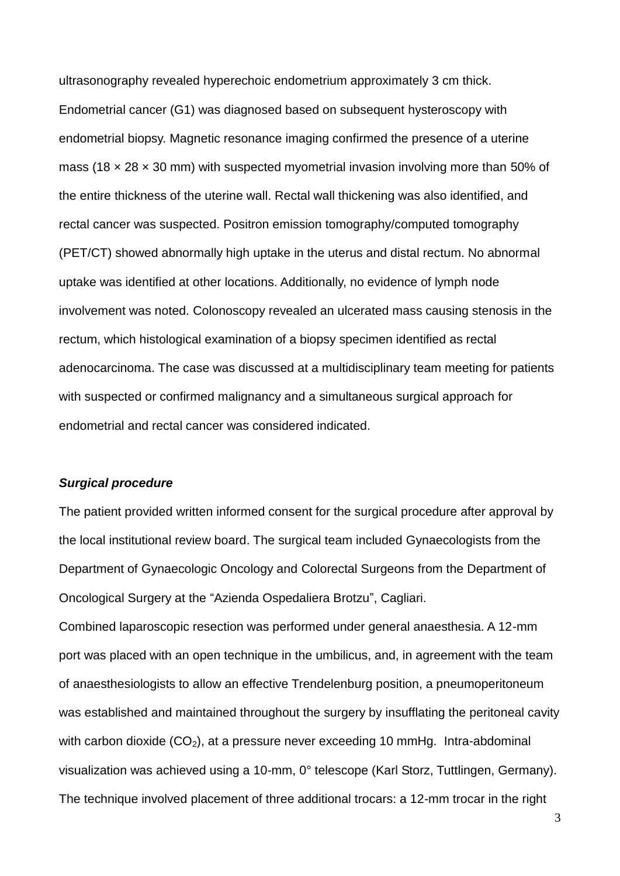ultrasonography revealed hyperechoic endometrium approximately 3 cm thick. Endometrial cancer (G1) was diagnosed based on subsequent hysteroscopy with endometrial biopsy. Magnetic resonance imaging confirmed the presence of a uterine mass (18  $\times$  28  $\times$  30 mm) with suspected myometrial invasion involving more than 50% of the entire thickness of the uterine wall. Rectal wall thickening was also identified, and rectal cancer was suspected. Positron emission tomography/computed tomography (PET/CT) showed abnormally high uptake in the uterus and distal rectum. No abnormal uptake was identified at other locations. Additionally, no evidence of lymph node involvement was noted. Colonoscopy revealed an ulcerated mass causing stenosis in the rectum, which histological examination of a biopsy specimen identified as rectal adenocarcinoma. The case was discussed at a multidisciplinary team meeting for patients with suspected or confirmed malignancy and a simultaneous surgical approach for endometrial and rectal cancer was considered indicated.

#### *Surgical procedure*

The patient provided written informed consent for the surgical procedure after approval by the local institutional review board. The surgical team included Gynaecologists from the Department of Gynaecologic Oncology and Colorectal Surgeons from the Department of Oncological Surgery at the "Azienda Ospedaliera Brotzu", Cagliari.

Combined laparoscopic resection was performed under general anaesthesia. A 12-mm port was placed with an open technique in the umbilicus, and, in agreement with the team of anaesthesiologists to allow an effective Trendelenburg position, a pneumoperitoneum was established and maintained throughout the surgery by insufflating the peritoneal cavity with carbon dioxide  $(CO_2)$ , at a pressure never exceeding 10 mmHg. Intra-abdominal visualization was achieved using a 10-mm, 0° telescope (Karl Storz, Tuttlingen, Germany). The technique involved placement of three additional trocars: a 12-mm trocar in the right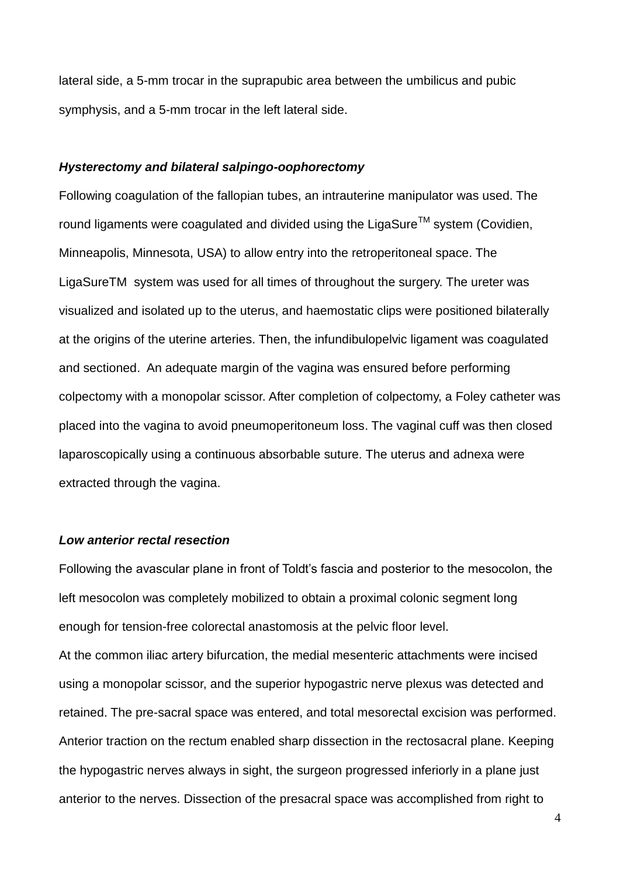lateral side, a 5-mm trocar in the suprapubic area between the umbilicus and pubic symphysis, and a 5-mm trocar in the left lateral side.

## *Hysterectomy and bilateral salpingo-oophorectomy*

Following coagulation of the fallopian tubes, an intrauterine manipulator was used. The round ligaments were coagulated and divided using the LigaSure<sup>TM</sup> system (Covidien, Minneapolis, Minnesota, USA) to allow entry into the retroperitoneal space. The LigaSureTM system was used for all times of throughout the surgery. The ureter was visualized and isolated up to the uterus, and haemostatic clips were positioned bilaterally at the origins of the uterine arteries. Then, the infundibulopelvic ligament was coagulated and sectioned. An adequate margin of the vagina was ensured before performing colpectomy with a monopolar scissor. After completion of colpectomy, a Foley catheter was placed into the vagina to avoid pneumoperitoneum loss. The vaginal cuff was then closed laparoscopically using a continuous absorbable suture. The uterus and adnexa were extracted through the vagina.

## *Low anterior rectal resection*

Following the avascular plane in front of Toldt's fascia and posterior to the mesocolon, the left mesocolon was completely mobilized to obtain a proximal colonic segment long enough for tension-free colorectal anastomosis at the pelvic floor level.

At the common iliac artery bifurcation, the medial mesenteric attachments were incised using a monopolar scissor, and the superior hypogastric nerve plexus was detected and retained. The pre-sacral space was entered, and total mesorectal excision was performed. Anterior traction on the rectum enabled sharp dissection in the rectosacral plane. Keeping the hypogastric nerves always in sight, the surgeon progressed inferiorly in a plane just anterior to the nerves. Dissection of the presacral space was accomplished from right to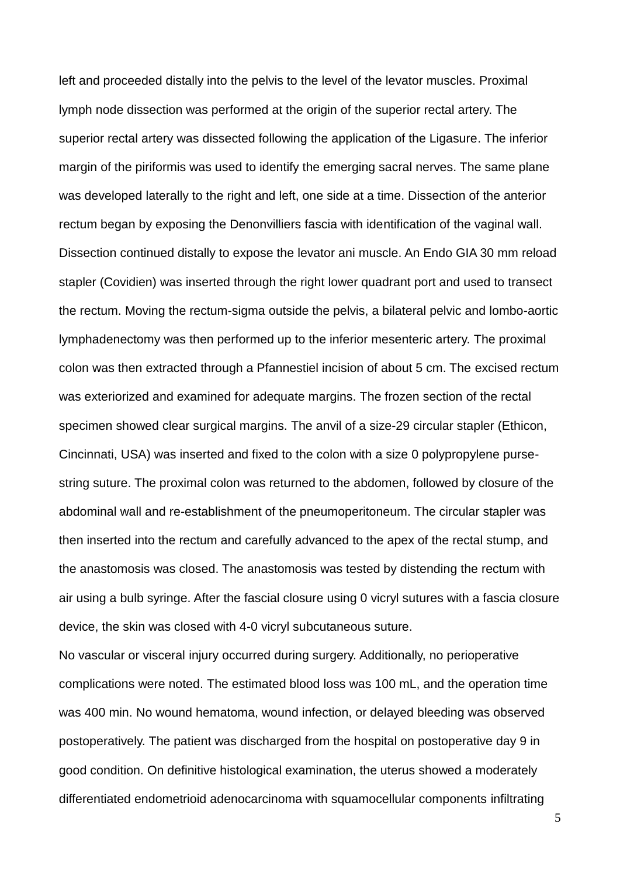left and proceeded distally into the pelvis to the level of the levator muscles. Proximal lymph node dissection was performed at the origin of the superior rectal artery. The superior rectal artery was dissected following the application of the Ligasure. The inferior margin of the piriformis was used to identify the emerging sacral nerves. The same plane was developed laterally to the right and left, one side at a time. Dissection of the anterior rectum began by exposing the Denonvilliers fascia with identification of the vaginal wall. Dissection continued distally to expose the levator ani muscle. An Endo GIA 30 mm reload stapler (Covidien) was inserted through the right lower quadrant port and used to transect the rectum. Moving the rectum-sigma outside the pelvis, a bilateral pelvic and lombo-aortic lymphadenectomy was then performed up to the inferior mesenteric artery. The proximal colon was then extracted through a Pfannestiel incision of about 5 cm. The excised rectum was exteriorized and examined for adequate margins. The frozen section of the rectal specimen showed clear surgical margins. The anvil of a size-29 circular stapler (Ethicon, Cincinnati, USA) was inserted and fixed to the colon with a size 0 polypropylene pursestring suture. The proximal colon was returned to the abdomen, followed by closure of the abdominal wall and re-establishment of the pneumoperitoneum. The circular stapler was then inserted into the rectum and carefully advanced to the apex of the rectal stump, and the anastomosis was closed. The anastomosis was tested by distending the rectum with air using a bulb syringe. After the fascial closure using 0 vicryl sutures with a fascia closure device, the skin was closed with 4-0 vicryl subcutaneous suture.

No vascular or visceral injury occurred during surgery. Additionally, no perioperative complications were noted. The estimated blood loss was 100 mL, and the operation time was 400 min. No wound hematoma, wound infection, or delayed bleeding was observed postoperatively. The patient was discharged from the hospital on postoperative day 9 in good condition. On definitive histological examination, the uterus showed a moderately differentiated endometrioid adenocarcinoma with squamocellular components infiltrating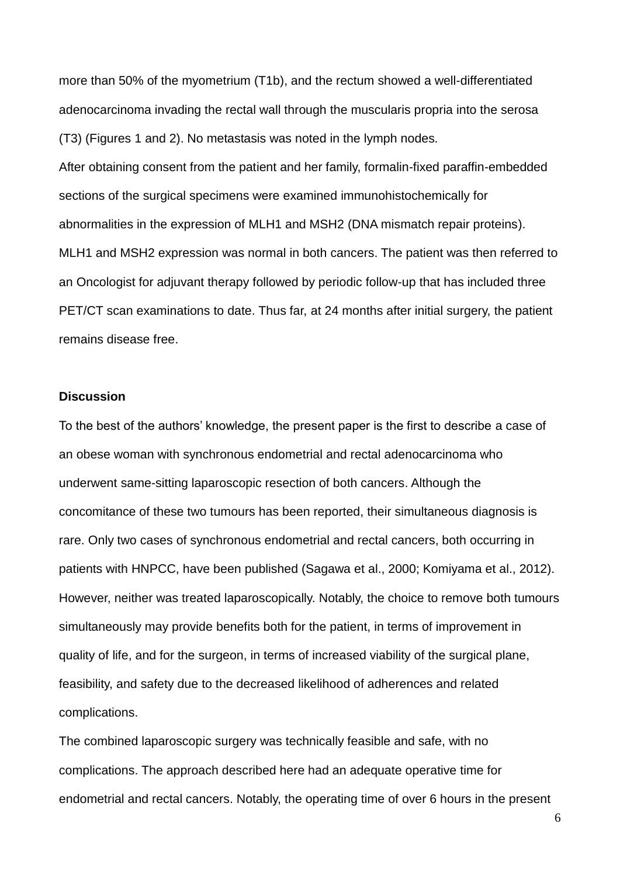more than 50% of the myometrium (T1b), and the rectum showed a well-differentiated adenocarcinoma invading the rectal wall through the muscularis propria into the serosa (T3) (Figures 1 and 2). No metastasis was noted in the lymph nodes.

After obtaining consent from the patient and her family, formalin-fixed paraffin-embedded sections of the surgical specimens were examined immunohistochemically for abnormalities in the expression of MLH1 and MSH2 (DNA mismatch repair proteins). MLH1 and MSH2 expression was normal in both cancers. The patient was then referred to an Oncologist for adjuvant therapy followed by periodic follow-up that has included three PET/CT scan examinations to date. Thus far, at 24 months after initial surgery, the patient remains disease free.

#### **Discussion**

To the best of the authors' knowledge, the present paper is the first to describe a case of an obese woman with synchronous endometrial and rectal adenocarcinoma who underwent same-sitting laparoscopic resection of both cancers. Although the concomitance of these two tumours has been reported, their simultaneous diagnosis is rare. Only two cases of synchronous endometrial and rectal cancers, both occurring in patients with HNPCC, have been published (Sagawa et al., 2000; Komiyama et al., 2012). However, neither was treated laparoscopically. Notably, the choice to remove both tumours simultaneously may provide benefits both for the patient, in terms of improvement in quality of life, and for the surgeon, in terms of increased viability of the surgical plane, feasibility, and safety due to the decreased likelihood of adherences and related complications.

The combined laparoscopic surgery was technically feasible and safe, with no complications. The approach described here had an adequate operative time for endometrial and rectal cancers. Notably, the operating time of over 6 hours in the present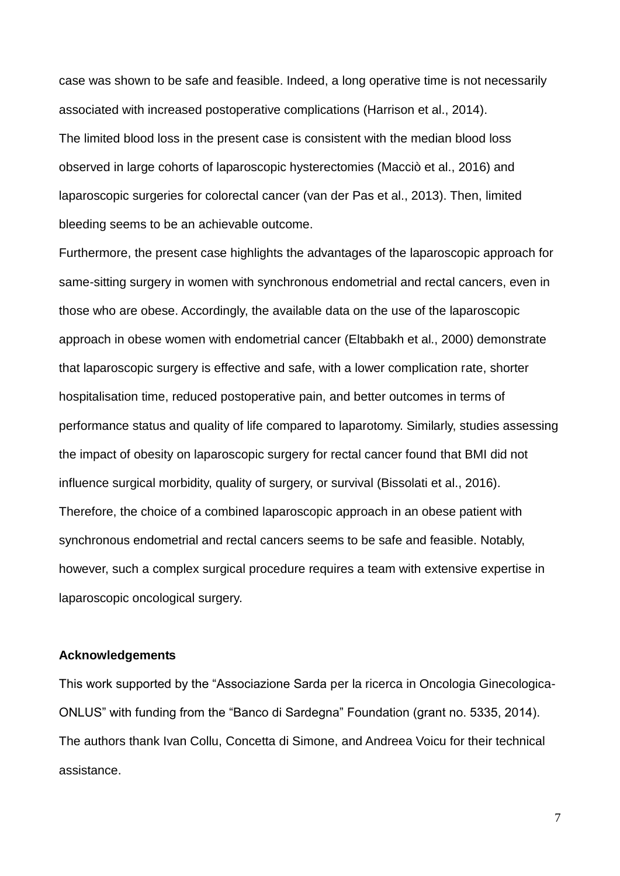case was shown to be safe and feasible. Indeed, a long operative time is not necessarily associated with increased postoperative complications (Harrison et al., 2014). The limited blood loss in the present case is consistent with the median blood loss observed in large cohorts of laparoscopic hysterectomies (Macciò et al., 2016) and laparoscopic surgeries for colorectal cancer (van der Pas et al., 2013). Then, limited bleeding seems to be an achievable outcome.

Furthermore, the present case highlights the advantages of the laparoscopic approach for same-sitting surgery in women with synchronous endometrial and rectal cancers, even in those who are obese. Accordingly, the available data on the use of the laparoscopic approach in obese women with endometrial cancer (Eltabbakh et al., 2000) demonstrate that laparoscopic surgery is effective and safe, with a lower complication rate, shorter hospitalisation time, reduced postoperative pain, and better outcomes in terms of performance status and quality of life compared to laparotomy. Similarly, studies assessing the impact of obesity on laparoscopic surgery for rectal cancer found that BMI did not influence surgical morbidity, quality of surgery, or survival (Bissolati et al., 2016). Therefore, the choice of a combined laparoscopic approach in an obese patient with synchronous endometrial and rectal cancers seems to be safe and feasible. Notably, however, such a complex surgical procedure requires a team with extensive expertise in laparoscopic oncological surgery.

## **Acknowledgements**

This work supported by the "Associazione Sarda per la ricerca in Oncologia Ginecologica-ONLUS" with funding from the "Banco di Sardegna" Foundation (grant no. 5335, 2014). The authors thank Ivan Collu, Concetta di Simone, and Andreea Voicu for their technical assistance.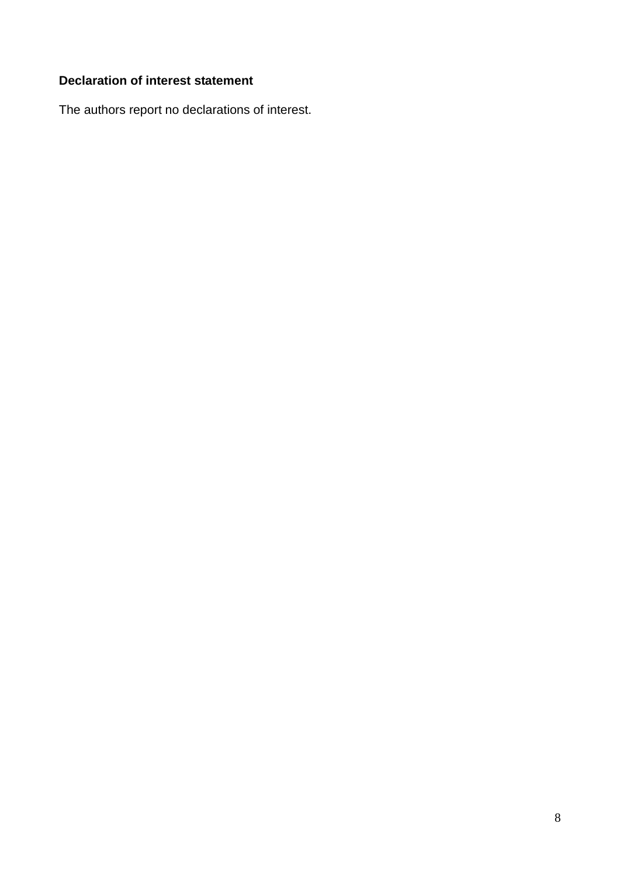# **Declaration of interest statement**

The authors report no declarations of interest.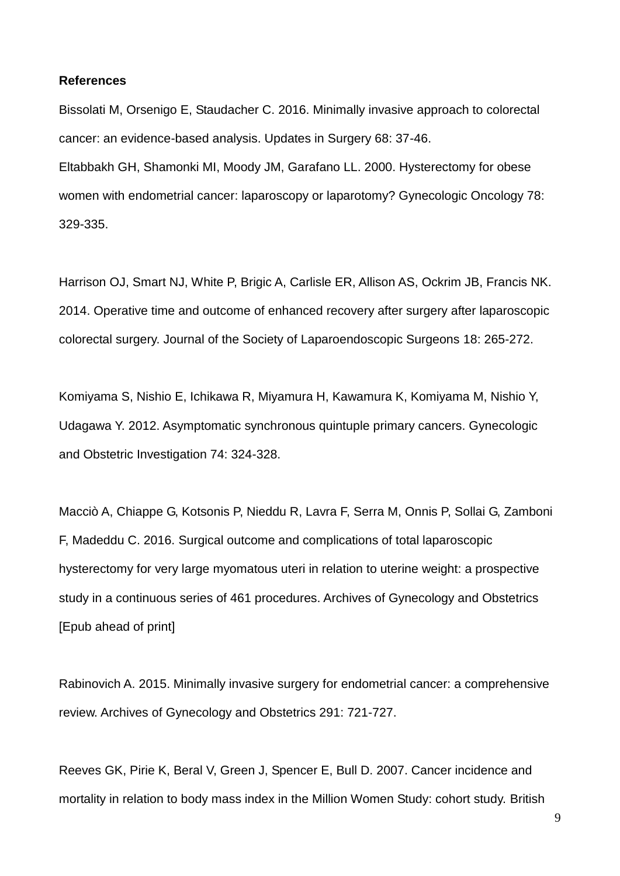#### **References**

Bissolati M, Orsenigo E, Staudacher C. 2016. Minimally invasive approach to colorectal cancer: an evidence-based analysis. Updates in Surgery 68: 37-46. Eltabbakh GH, Shamonki MI, Moody JM, Garafano LL. 2000. Hysterectomy for obese women with endometrial cancer: laparoscopy or laparotomy? Gynecologic Oncology 78: 329-335.

Harrison OJ, Smart NJ, White P, Brigic A, Carlisle ER, Allison AS, Ockrim JB, Francis NK. 2014. Operative time and outcome of enhanced recovery after surgery after laparoscopic colorectal surgery. Journal of the Society of Laparoendoscopic Surgeons 18: 265-272.

Komiyama S, Nishio E, Ichikawa R, Miyamura H, Kawamura K, Komiyama M, Nishio Y, Udagawa Y. 2012. Asymptomatic synchronous quintuple primary cancers. Gynecologic and Obstetric Investigation 74: 324-328.

Macciò A, Chiappe G, Kotsonis P, Nieddu R, Lavra F, Serra M, Onnis P, Sollai G, Zamboni F, Madeddu C. 2016. Surgical outcome and complications of total laparoscopic hysterectomy for very large myomatous uteri in relation to uterine weight: a prospective study in a continuous series of 461 procedures. Archives of Gynecology and Obstetrics [Epub ahead of print]

Rabinovich A. 2015. Minimally invasive surgery for endometrial cancer: a comprehensive review. Archives of Gynecology and Obstetrics 291: 721-727.

Reeves GK, Pirie K, Beral V, Green J, Spencer E, Bull D. 2007. Cancer incidence and mortality in relation to body mass index in the Million Women Study: cohort study. British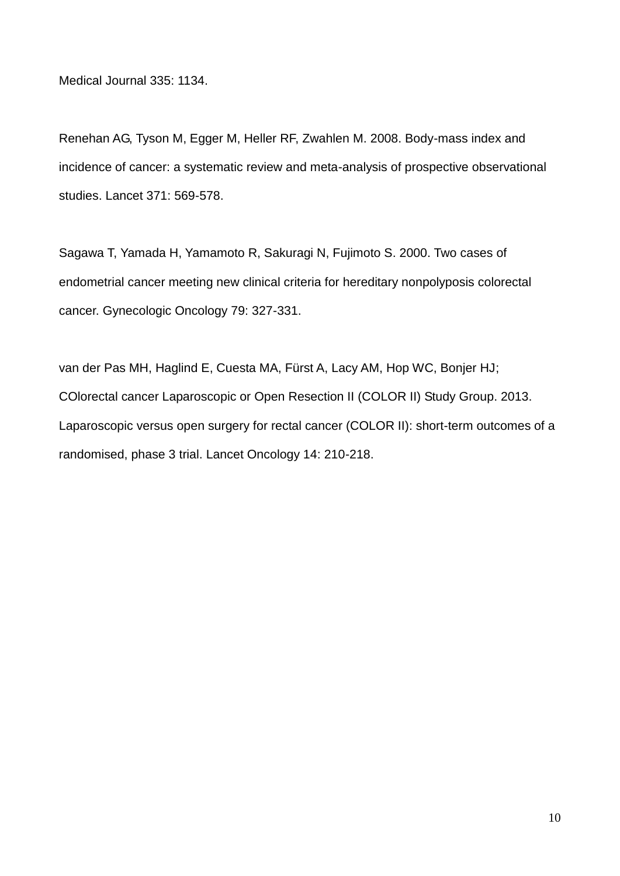Medical Journal 335: 1134.

Renehan AG, Tyson M, Egger M, Heller RF, Zwahlen M. 2008. Body-mass index and incidence of cancer: a systematic review and meta-analysis of prospective observational studies. Lancet 371: 569-578.

Sagawa T, Yamada H, Yamamoto R, Sakuragi N, Fujimoto S. 2000. Two cases of endometrial cancer meeting new clinical criteria for hereditary nonpolyposis colorectal cancer. Gynecologic Oncology 79: 327-331.

van der Pas MH, Haglind E, Cuesta MA, Fürst A, Lacy AM, Hop WC, Bonjer HJ; COlorectal cancer Laparoscopic or Open Resection II (COLOR II) Study Group. 2013. Laparoscopic versus open surgery for rectal cancer (COLOR II): short-term outcomes of a randomised, phase 3 trial. Lancet Oncology 14: 210-218.